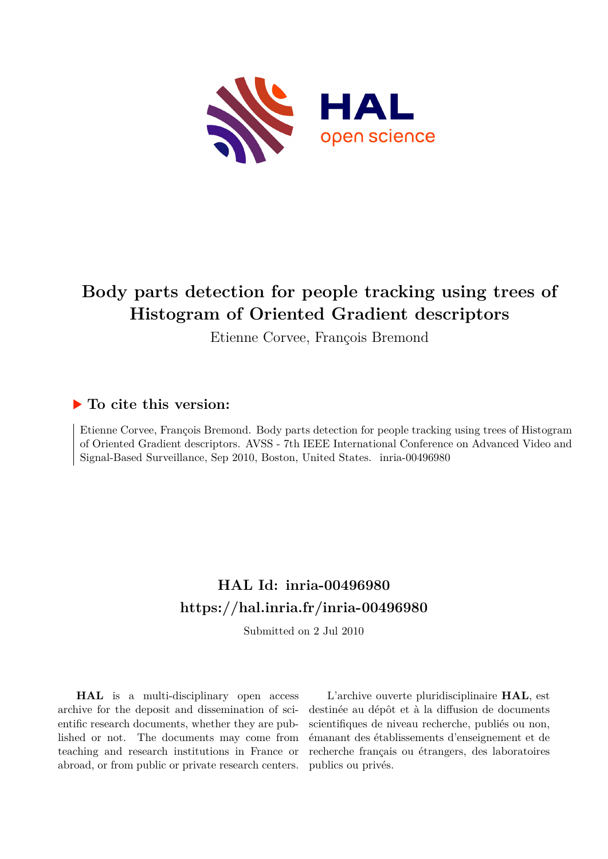<span id="page-0-0"></span>

# **Body parts detection for people tracking using trees of Histogram of Oriented Gradient descriptors**

Etienne Corvee, François Bremond

# **To cite this version:**

Etienne Corvee, François Bremond. Body parts detection for people tracking using trees of Histogram of Oriented Gradient descriptors. AVSS - 7th IEEE International Conference on Advanced Video and Signal-Based Surveillance, Sep 2010, Boston, United States. inria-00496980

# **HAL Id: inria-00496980 <https://hal.inria.fr/inria-00496980>**

Submitted on 2 Jul 2010

**HAL** is a multi-disciplinary open access archive for the deposit and dissemination of scientific research documents, whether they are published or not. The documents may come from teaching and research institutions in France or abroad, or from public or private research centers.

L'archive ouverte pluridisciplinaire **HAL**, est destinée au dépôt et à la diffusion de documents scientifiques de niveau recherche, publiés ou non, émanant des établissements d'enseignement et de recherche français ou étrangers, des laboratoires publics ou privés.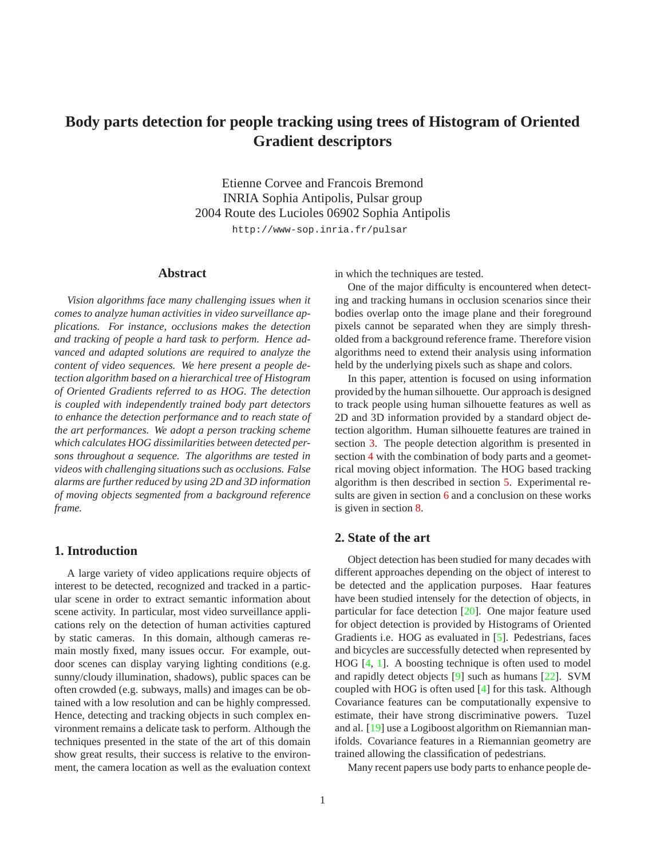# **Body parts detection for people tracking using trees of Histogram of Oriented Gradient descriptors**

Etienne Corvee and Francois Bremond INRIA Sophia Antipolis, Pulsar group 2004 Route des Lucioles 06902 Sophia Antipolis http://www-sop.inria.fr/pulsar

## **Abstract**

*Vision algorithms face many challenging issues when it comes to analyze human activities in video surveillance applications. For instance, occlusions makes the detection and tracking of people a hard task to perform. Hence advanced and adapted solutions are required to analyze the content of video sequences. We here present a people detection algorithm based on a hierarchical tree of Histogram of Oriented Gradients referred to as HOG. The detection is coupled with independently trained body part detectors to enhance the detection performance and to reach state of the art performances. We adopt a person tracking scheme which calculates HOG dissimilarities between detected persons throughout a sequence. The algorithms are tested in videos with challenging situations such as occlusions. False alarms are further reduced by using 2D and 3D information of moving objects segmented from a background reference frame.*

#### **1. Introduction**

A large variety of video applications require objects of interest to be detected, recognized and tracked in a particular scene in order to extract semantic information about scene activity. In particular, most video surveillance applications rely on the detection of human activities captured by static cameras. In this domain, although cameras remain mostly fixed, many issues occur. For example, outdoor scenes can display varying lighting conditions (e.g. sunny/cloudy illumination, shadows), public spaces can be often crowded (e.g. subways, malls) and images can be obtained with a low resolution and can be highly compressed. Hence, detecting and tracking objects in such complex environment remains a delicate task to perform. Although the techniques presented in the state of the art of this domain show great results, their success is relative to the environment, the camera location as well as the evaluation context

in which the techniques are tested.

One of the major difficulty is encountered when detecting and tracking humans in occlusion scenarios since their bodies overlap onto the image plane and their foreground pixels cannot be separated when they are simply thresholded from a background reference frame. Therefore vision algorithms need to extend their analysis using information held by the underlying pixels such as shape and colors.

In this paper, attention is focused on using information provided by the human silhouette. Our approach is designed to track people using human silhouette features as well as 2D and 3D information provided by a standard object detection algorithm. Human silhouette features are trained in section [3.](#page-2-0) The people detection algorithm is presented in section [4](#page-3-0) with the combination of body parts and a geometrical moving object information. The HOG based tracking algorithm is then described in section [5.](#page-4-0) Experimental re-sults are given in section [6](#page-5-0) and a conclusion on these works is given in section [8.](#page-6-0)

## **2. State of the art**

Object detection has been studied for many decades with different approaches depending on the object of interest to be detected and the application purposes. Haar features have been studied intensely for the detection of objects, in particular for face detection [\[20\]](#page-7-0). One major feature used for object detection is provided by Histograms of Oriented Gradients i.e. HOG as evaluated in [\[5\]](#page-7-1). Pedestrians, faces and bicycles are successfully detected when represented by HOG [\[4,](#page-7-2) [1\]](#page-7-3). A boosting technique is often used to model and rapidly detect objects [\[9\]](#page-7-4) such as humans [\[22\]](#page-7-5). SVM coupled with HOG is often used [\[4\]](#page-7-2) for this task. Although Covariance features can be computationally expensive to estimate, their have strong discriminative powers. Tuzel and al. [\[19\]](#page-7-6) use a Logiboost algorithm on Riemannian manifolds. Covariance features in a Riemannian geometry are trained allowing the classification of pedestrians.

Many recent papers use body parts to enhance people de-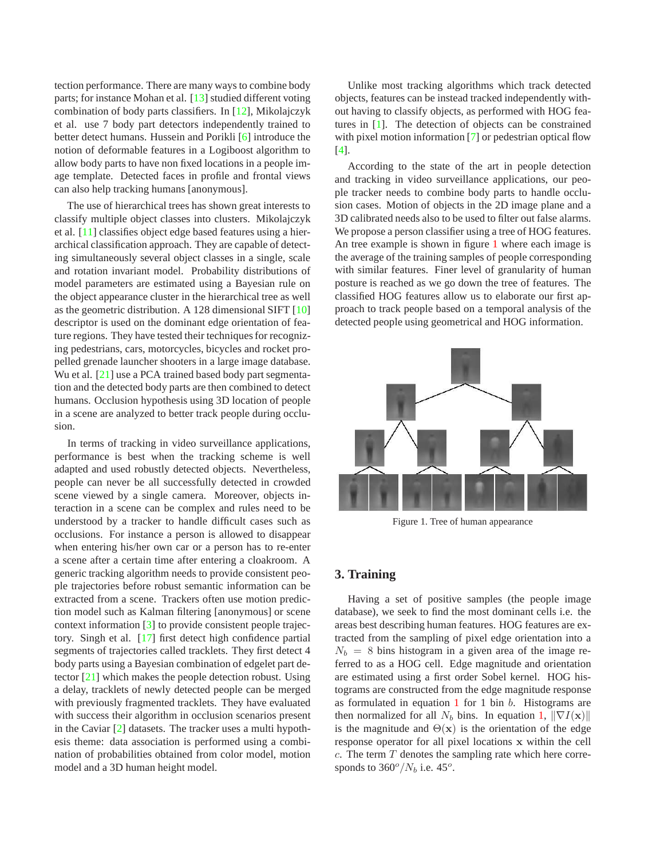<span id="page-2-2"></span>tection performance. There are many ways to combine body parts; for instance Mohan et al. [\[13\]](#page-7-7) studied different voting combination of body parts classifiers. In [\[12\]](#page-7-8), Mikolajczyk et al. use 7 body part detectors independently trained to better detect humans. Hussein and Porikli [\[6\]](#page-7-9) introduce the notion of deformable features in a Logiboost algorithm to allow body parts to have non fixed locations in a people image template. Detected faces in profile and frontal views can also help tracking humans [anonymous].

The use of hierarchical trees has shown great interests to classify multiple object classes into clusters. Mikolajczyk et al. [\[11\]](#page-7-10) classifies object edge based features using a hierarchical classification approach. They are capable of detecting simultaneously several object classes in a single, scale and rotation invariant model. Probability distributions of model parameters are estimated using a Bayesian rule on the object appearance cluster in the hierarchical tree as well as the geometric distribution. A 128 dimensional SIFT [\[10\]](#page-7-11) descriptor is used on the dominant edge orientation of feature regions. They have tested their techniques for recognizing pedestrians, cars, motorcycles, bicycles and rocket propelled grenade launcher shooters in a large image database. Wu et al. [\[21\]](#page-7-12) use a PCA trained based body part segmentation and the detected body parts are then combined to detect humans. Occlusion hypothesis using 3D location of people in a scene are analyzed to better track people during occlusion.

In terms of tracking in video surveillance applications, performance is best when the tracking scheme is well adapted and used robustly detected objects. Nevertheless, people can never be all successfully detected in crowded scene viewed by a single camera. Moreover, objects interaction in a scene can be complex and rules need to be understood by a tracker to handle difficult cases such as occlusions. For instance a person is allowed to disappear when entering his/her own car or a person has to re-enter a scene after a certain time after entering a cloakroom. A generic tracking algorithm needs to provide consistent people trajectories before robust semantic information can be extracted from a scene. Trackers often use motion prediction model such as Kalman filtering [anonymous] or scene context information [\[3\]](#page-7-13) to provide consistent people trajectory. Singh et al. [\[17\]](#page-7-14) first detect high confidence partial segments of trajectories called tracklets. They first detect 4 body parts using a Bayesian combination of edgelet part detector [\[21\]](#page-7-12) which makes the people detection robust. Using a delay, tracklets of newly detected people can be merged with previously fragmented tracklets. They have evaluated with success their algorithm in occlusion scenarios present in the Caviar [\[2\]](#page-7-15) datasets. The tracker uses a multi hypothesis theme: data association is performed using a combination of probabilities obtained from color model, motion model and a 3D human height model.

Unlike most tracking algorithms which track detected objects, features can be instead tracked independently without having to classify objects, as performed with HOG features in [\[1\]](#page-7-3). The detection of objects can be constrained with pixel motion information [\[7\]](#page-7-16) or pedestrian optical flow [\[4\]](#page-7-2).

According to the state of the art in people detection and tracking in video surveillance applications, our people tracker needs to combine body parts to handle occlusion cases. Motion of objects in the 2D image plane and a 3D calibrated needs also to be used to filter out false alarms. We propose a person classifier using a tree of HOG features. An tree example is shown in figure [1](#page-2-1) where each image is the average of the training samples of people corresponding with similar features. Finer level of granularity of human posture is reached as we go down the tree of features. The classified HOG features allow us to elaborate our first approach to track people based on a temporal analysis of the detected people using geometrical and HOG information.



Figure 1. Tree of human appearance

### <span id="page-2-1"></span><span id="page-2-0"></span>**3. Training**

Having a set of positive samples (the people image database), we seek to find the most dominant cells i.e. the areas best describing human features. HOG features are extracted from the sampling of pixel edge orientation into a  $N_b = 8$  bins histogram in a given area of the image referred to as a HOG cell. Edge magnitude and orientation are estimated using a first order Sobel kernel. HOG histograms are constructed from the edge magnitude response as formulated in equation [1](#page-3-1) for 1 bin b. Histograms are then normalized for all  $N_b$  bins. In equation [1,](#page-3-1)  $\|\nabla I(\mathbf{x})\|$ is the magnitude and  $\Theta(\mathbf{x})$  is the orientation of the edge response operator for all pixel locations x within the cell  $c$ . The term  $T$  denotes the sampling rate which here corresponds to  $360^{\circ}/N_b$  i.e.  $45^{\circ}$ .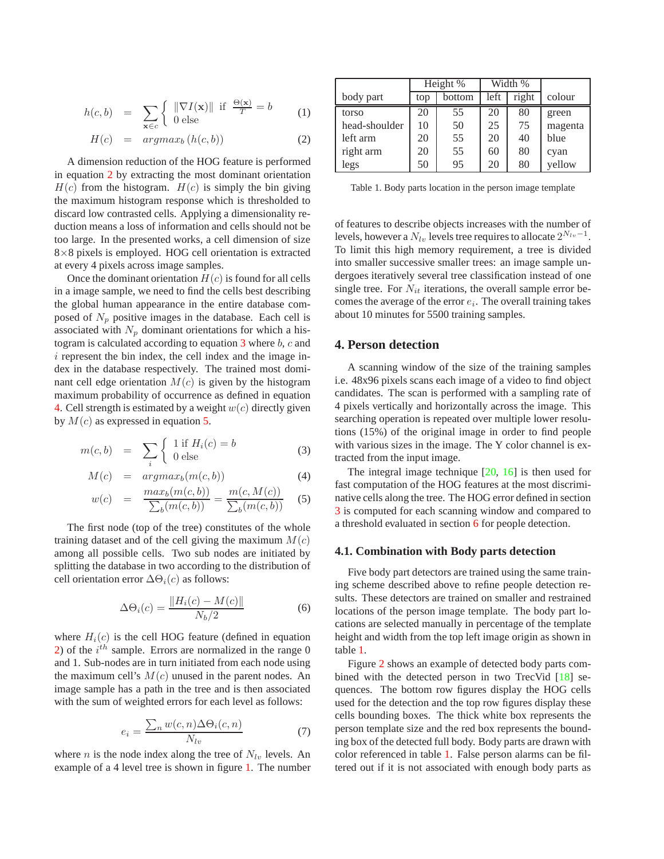<span id="page-3-6"></span>
$$
h(c, b) = \sum_{\mathbf{x} \in c} \left\{ \begin{array}{ll} \|\nabla I(\mathbf{x})\| & \text{if } \frac{\Theta(\mathbf{x})}{T} = b \\ 0 & \text{else} \end{array} \right. \tag{1}
$$

$$
H(c) = argmax_{b} (h(c, b))
$$
 (2)

<span id="page-3-1"></span>A dimension reduction of the HOG feature is performed in equation [2](#page-3-1) by extracting the most dominant orientation  $H(c)$  from the histogram.  $H(c)$  is simply the bin giving the maximum histogram response which is thresholded to discard low contrasted cells. Applying a dimensionality reduction means a loss of information and cells should not be too large. In the presented works, a cell dimension of size  $8\times8$  pixels is employed. HOG cell orientation is extracted at every 4 pixels across image samples.

Once the dominant orientation  $H(c)$  is found for all cells in a image sample, we need to find the cells best describing the global human appearance in the entire database composed of  $N_p$  positive images in the database. Each cell is associated with  $N_p$  dominant orientations for which a histogram is calculated according to equation  $3$  where  $b, c$  and  $i$  represent the bin index, the cell index and the image index in the database respectively. The trained most dominant cell edge orientation  $M(c)$  is given by the histogram maximum probability of occurrence as defined in equation [4.](#page-3-2) Cell strength is estimated by a weight  $w(c)$  directly given by  $M(c)$  as expressed in equation [5.](#page-3-2)

<span id="page-3-2"></span>
$$
m(c, b) = \sum_{i} \begin{cases} 1 \text{ if } H_i(c) = b \\ 0 \text{ else} \end{cases}
$$
 (3)

$$
M(c) = argmax_b(m(c, b))
$$
 (4)

$$
w(c) = \frac{\max_b(m(c, b))}{\sum_b(m(c, b))} = \frac{m(c, M(c))}{\sum_b(m(c, b))}
$$
(5)

The first node (top of the tree) constitutes of the whole training dataset and of the cell giving the maximum  $M(c)$ among all possible cells. Two sub nodes are initiated by splitting the database in two according to the distribution of cell orientation error  $\Delta\Theta_i(c)$  as follows:

$$
\Delta\Theta_i(c) = \frac{\|H_i(c) - M(c)\|}{N_b/2}
$$
 (6)

<span id="page-3-4"></span>where  $H_i(c)$  is the cell HOG feature (defined in equation [2\)](#page-3-1) of the  $i^{th}$  sample. Errors are normalized in the range 0 and 1. Sub-nodes are in turn initiated from each node using the maximum cell's  $M(c)$  unused in the parent nodes. An image sample has a path in the tree and is then associated with the sum of weighted errors for each level as follows:

$$
e_i = \frac{\sum_n w(c, n)\Delta\Theta_i(c, n)}{N_{lv}}\tag{7}
$$

where *n* is the node index along the tree of  $N_{lv}$  levels. An example of a 4 level tree is shown in figure [1.](#page-2-1) The number

|               | Height % |        | Width % |       |         |
|---------------|----------|--------|---------|-------|---------|
| body part     | top      | bottom | left    | right | colour  |
| torso         | 20       | 55     | 20      | 80    | green   |
| head-shoulder | 10       | 50     | 25      | 75    | magenta |
| left arm      | 20       | 55     | 20      | 40    | blue    |
| right arm     | 20       | 55     | 60      | 80    | cyan    |
| legs          | 50       | 95     | 20      | 80    | yellow  |

Table 1. Body parts location in the person image template

<span id="page-3-3"></span>of features to describe objects increases with the number of levels, however a  $N_{lv}$  levels tree requires to allocate  $2^{N_{lv}-1}$ . To limit this high memory requirement, a tree is divided into smaller successive smaller trees: an image sample undergoes iteratively several tree classification instead of one single tree. For  $N_{it}$  iterations, the overall sample error becomes the average of the error  $e_i$ . The overall training takes about 10 minutes for 5500 training samples.

## <span id="page-3-0"></span>**4. Person detection**

A scanning window of the size of the training samples i.e. 48x96 pixels scans each image of a video to find object candidates. The scan is performed with a sampling rate of 4 pixels vertically and horizontally across the image. This searching operation is repeated over multiple lower resolutions (15%) of the original image in order to find people with various sizes in the image. The Y color channel is extracted from the input image.

The integral image technique  $[20, 16]$  $[20, 16]$  $[20, 16]$  is then used for fast computation of the HOG features at the most discriminative cells along the tree. The HOG error defined in section [3](#page-2-0) is computed for each scanning window and compared to a threshold evaluated in section [6](#page-5-0) for people detection.

#### <span id="page-3-5"></span>**4.1. Combination with Body parts detection**

Five body part detectors are trained using the same training scheme described above to refine people detection results. These detectors are trained on smaller and restrained locations of the person image template. The body part locations are selected manually in percentage of the template height and width from the top left image origin as shown in table [1.](#page-3-3)

Figure [2](#page-4-1) shows an example of detected body parts combined with the detected person in two TrecVid [\[18\]](#page-7-18) sequences. The bottom row figures display the HOG cells used for the detection and the top row figures display these cells bounding boxes. The thick white box represents the person template size and the red box represents the bounding box of the detected full body. Body parts are drawn with color referenced in table [1.](#page-3-3) False person alarms can be filtered out if it is not associated with enough body parts as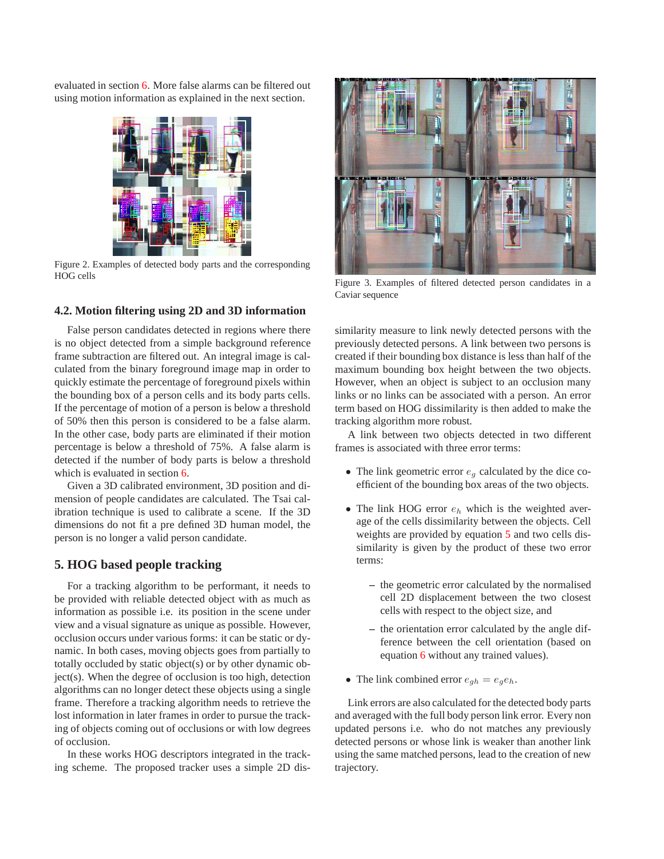evaluated in section [6.](#page-5-0) More false alarms can be filtered out using motion information as explained in the next section.



Figure 2. Examples of detected body parts and the corresponding HOG cells

### <span id="page-4-2"></span><span id="page-4-1"></span>**4.2. Motion filtering using 2D and 3D information**

False person candidates detected in regions where there is no object detected from a simple background reference frame subtraction are filtered out. An integral image is calculated from the binary foreground image map in order to quickly estimate the percentage of foreground pixels within the bounding box of a person cells and its body parts cells. If the percentage of motion of a person is below a threshold of 50% then this person is considered to be a false alarm. In the other case, body parts are eliminated if their motion percentage is below a threshold of 75%. A false alarm is detected if the number of body parts is below a threshold which is evaluated in section [6.](#page-5-0)

Given a 3D calibrated environment, 3D position and dimension of people candidates are calculated. The Tsai calibration technique is used to calibrate a scene. If the 3D dimensions do not fit a pre defined 3D human model, the person is no longer a valid person candidate.

# <span id="page-4-0"></span>**5. HOG based people tracking**

For a tracking algorithm to be performant, it needs to be provided with reliable detected object with as much as information as possible i.e. its position in the scene under view and a visual signature as unique as possible. However, occlusion occurs under various forms: it can be static or dynamic. In both cases, moving objects goes from partially to totally occluded by static object(s) or by other dynamic object(s). When the degree of occlusion is too high, detection algorithms can no longer detect these objects using a single frame. Therefore a tracking algorithm needs to retrieve the lost information in later frames in order to pursue the tracking of objects coming out of occlusions or with low degrees of occlusion.

In these works HOG descriptors integrated in the tracking scheme. The proposed tracker uses a simple 2D dis-



Figure 3. Examples of filtered detected person candidates in a Caviar sequence

similarity measure to link newly detected persons with the previously detected persons. A link between two persons is created if their bounding box distance is less than half of the maximum bounding box height between the two objects. However, when an object is subject to an occlusion many links or no links can be associated with a person. An error term based on HOG dissimilarity is then added to make the tracking algorithm more robust.

A link between two objects detected in two different frames is associated with three error terms:

- The link geometric error  $e_q$  calculated by the dice coefficient of the bounding box areas of the two objects.
- The link HOG error  $e_h$  which is the weighted average of the cells dissimilarity between the objects. Cell weights are provided by equation [5](#page-3-2) and two cells dissimilarity is given by the product of these two error terms:
	- **–** the geometric error calculated by the normalised cell 2D displacement between the two closest cells with respect to the object size, and
	- **–** the orientation error calculated by the angle difference between the cell orientation (based on equation [6](#page-3-4) without any trained values).
- The link combined error  $e_{qh} = e_q e_h$ .

Link errors are also calculated for the detected body parts and averaged with the full body person link error. Every non updated persons i.e. who do not matches any previously detected persons or whose link is weaker than another link using the same matched persons, lead to the creation of new trajectory.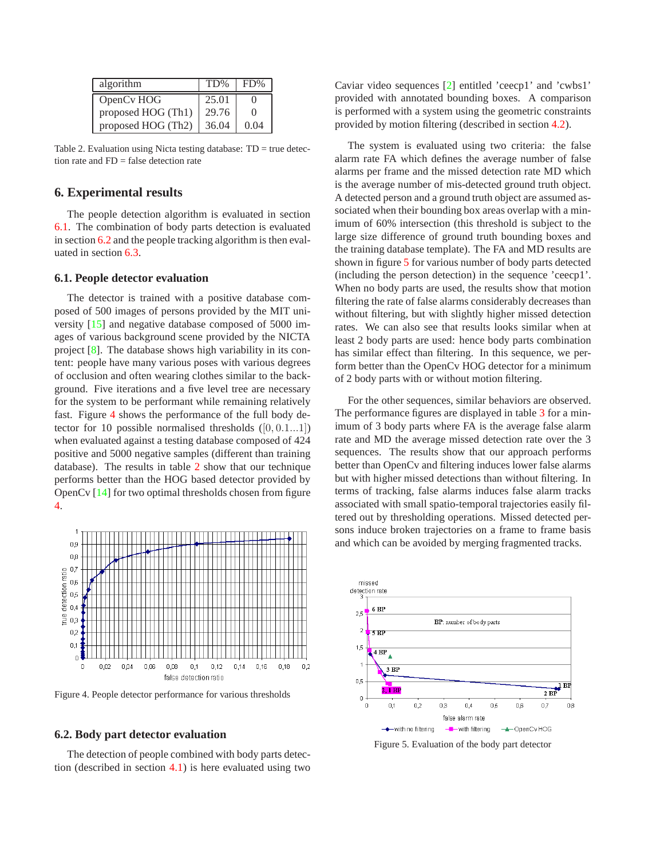| algorithm          | TD%   | FD%  |
|--------------------|-------|------|
| OpenCv HOG         | 25.01 |      |
| proposed HOG (Th1) | 29.76 |      |
| proposed HOG (Th2) | 36.04 | 0.04 |

<span id="page-5-6"></span><span id="page-5-4"></span>Table 2. Evaluation using Nicta testing database:  $TD = true$  detection rate and FD = false detection rate

#### <span id="page-5-0"></span>**6. Experimental results**

The people detection algorithm is evaluated in section [6.1.](#page-5-1) The combination of body parts detection is evaluated in section [6.2](#page-5-2) and the people tracking algorithm is then evaluated in section [6.3.](#page-6-1)

#### <span id="page-5-1"></span>**6.1. People detector evaluation**

The detector is trained with a positive database composed of 500 images of persons provided by the MIT university [\[15\]](#page-7-19) and negative database composed of 5000 images of various background scene provided by the NICTA project [\[8\]](#page-7-20). The database shows high variability in its content: people have many various poses with various degrees of occlusion and often wearing clothes similar to the background. Five iterations and a five level tree are necessary for the system to be performant while remaining relatively fast. Figure [4](#page-5-3) shows the performance of the full body detector for 10 possible normalised thresholds  $([0, 0.1...1])$ when evaluated against a testing database composed of 424 positive and 5000 negative samples (different than training database). The results in table [2](#page-5-4) show that our technique performs better than the HOG based detector provided by OpenCv [\[14\]](#page-7-21) for two optimal thresholds chosen from figure [4.](#page-5-3)



<span id="page-5-3"></span>Figure 4. People detector performance for various thresholds

#### <span id="page-5-2"></span>**6.2. Body part detector evaluation**

The detection of people combined with body parts detection (described in section [4.1\)](#page-3-5) is here evaluated using two Caviar video sequences [\[2\]](#page-7-15) entitled 'ceecp1' and 'cwbs1' provided with annotated bounding boxes. A comparison is performed with a system using the geometric constraints provided by motion filtering (described in section [4.2\)](#page-4-2).

The system is evaluated using two criteria: the false alarm rate FA which defines the average number of false alarms per frame and the missed detection rate MD which is the average number of mis-detected ground truth object. A detected person and a ground truth object are assumed associated when their bounding box areas overlap with a minimum of 60% intersection (this threshold is subject to the large size difference of ground truth bounding boxes and the training database template). The FA and MD results are shown in figure [5](#page-5-5) for various number of body parts detected (including the person detection) in the sequence 'ceecp1'. When no body parts are used, the results show that motion filtering the rate of false alarms considerably decreases than without filtering, but with slightly higher missed detection rates. We can also see that results looks similar when at least 2 body parts are used: hence body parts combination has similar effect than filtering. In this sequence, we perform better than the OpenCv HOG detector for a minimum of 2 body parts with or without motion filtering.

For the other sequences, similar behaviors are observed. The performance figures are displayed in table [3](#page-6-2) for a minimum of 3 body parts where FA is the average false alarm rate and MD the average missed detection rate over the 3 sequences. The results show that our approach performs better than OpenCv and filtering induces lower false alarms but with higher missed detections than without filtering. In terms of tracking, false alarms induces false alarm tracks associated with small spatio-temporal trajectories easily filtered out by thresholding operations. Missed detected persons induce broken trajectories on a frame to frame basis and which can be avoided by merging fragmented tracks.



<span id="page-5-5"></span>Figure 5. Evaluation of the body part detector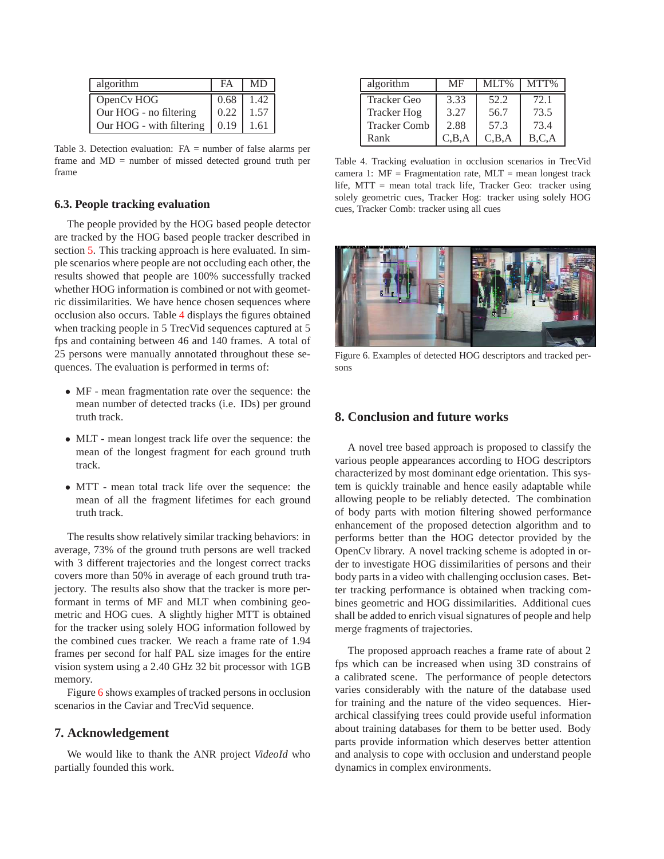| algorithm                | FA   | MD   |
|--------------------------|------|------|
| OpenCv HOG               | 0.68 | 1.42 |
| Our HOG - no filtering   | 0.22 | 1.57 |
| Our HOG - with filtering | 0.19 | 1.61 |

<span id="page-6-2"></span>Table 3. Detection evaluation: FA = number of false alarms per frame and MD = number of missed detected ground truth per frame

#### <span id="page-6-1"></span>**6.3. People tracking evaluation**

The people provided by the HOG based people detector are tracked by the HOG based people tracker described in section [5.](#page-4-0) This tracking approach is here evaluated. In simple scenarios where people are not occluding each other, the results showed that people are 100% successfully tracked whether HOG information is combined or not with geometric dissimilarities. We have hence chosen sequences where occlusion also occurs. Table [4](#page-6-3) displays the figures obtained when tracking people in 5 TrecVid sequences captured at 5 fps and containing between 46 and 140 frames. A total of 25 persons were manually annotated throughout these sequences. The evaluation is performed in terms of:

- MF mean fragmentation rate over the sequence: the mean number of detected tracks (i.e. IDs) per ground truth track.
- MLT mean longest track life over the sequence: the mean of the longest fragment for each ground truth track.
- MTT mean total track life over the sequence: the mean of all the fragment lifetimes for each ground truth track.

The results show relatively similar tracking behaviors: in average, 73% of the ground truth persons are well tracked with 3 different trajectories and the longest correct tracks covers more than 50% in average of each ground truth trajectory. The results also show that the tracker is more performant in terms of MF and MLT when combining geometric and HOG cues. A slightly higher MTT is obtained for the tracker using solely HOG information followed by the combined cues tracker. We reach a frame rate of 1.94 frames per second for half PAL size images for the entire vision system using a 2.40 GHz 32 bit processor with 1GB memory.

Figure [6](#page-6-4) shows examples of tracked persons in occlusion scenarios in the Caviar and TrecVid sequence.

# **7. Acknowledgement**

We would like to thank the ANR project *VideoId* who partially founded this work.

| algorithm           | MF              | MLT%  | MTT <sub>%</sub> |
|---------------------|-----------------|-------|------------------|
| <b>Tracker Geo</b>  | 3.33            | 52.2  | 72.1             |
| <b>Tracker Hog</b>  | 3.27            | 56.7  | 73.5             |
| <b>Tracker Comb</b> | 2.88            | 57.3  | 73.4             |
| Rank                | $C$ , $B$ . $A$ | C.B.A | B.C.A            |

<span id="page-6-3"></span>Table 4. Tracking evaluation in occlusion scenarios in TrecVid camera 1:  $MF = Fragmentation rate$ ,  $MLT = mean longest track$ life, MTT = mean total track life, Tracker Geo: tracker using solely geometric cues, Tracker Hog: tracker using solely HOG cues, Tracker Comb: tracker using all cues



Figure 6. Examples of detected HOG descriptors and tracked persons

# <span id="page-6-4"></span><span id="page-6-0"></span>**8. Conclusion and future works**

A novel tree based approach is proposed to classify the various people appearances according to HOG descriptors characterized by most dominant edge orientation. This system is quickly trainable and hence easily adaptable while allowing people to be reliably detected. The combination of body parts with motion filtering showed performance enhancement of the proposed detection algorithm and to performs better than the HOG detector provided by the OpenCv library. A novel tracking scheme is adopted in order to investigate HOG dissimilarities of persons and their body parts in a video with challenging occlusion cases. Better tracking performance is obtained when tracking combines geometric and HOG dissimilarities. Additional cues shall be added to enrich visual signatures of people and help merge fragments of trajectories.

The proposed approach reaches a frame rate of about 2 fps which can be increased when using 3D constrains of a calibrated scene. The performance of people detectors varies considerably with the nature of the database used for training and the nature of the video sequences. Hierarchical classifying trees could provide useful information about training databases for them to be better used. Body parts provide information which deserves better attention and analysis to cope with occlusion and understand people dynamics in complex environments.